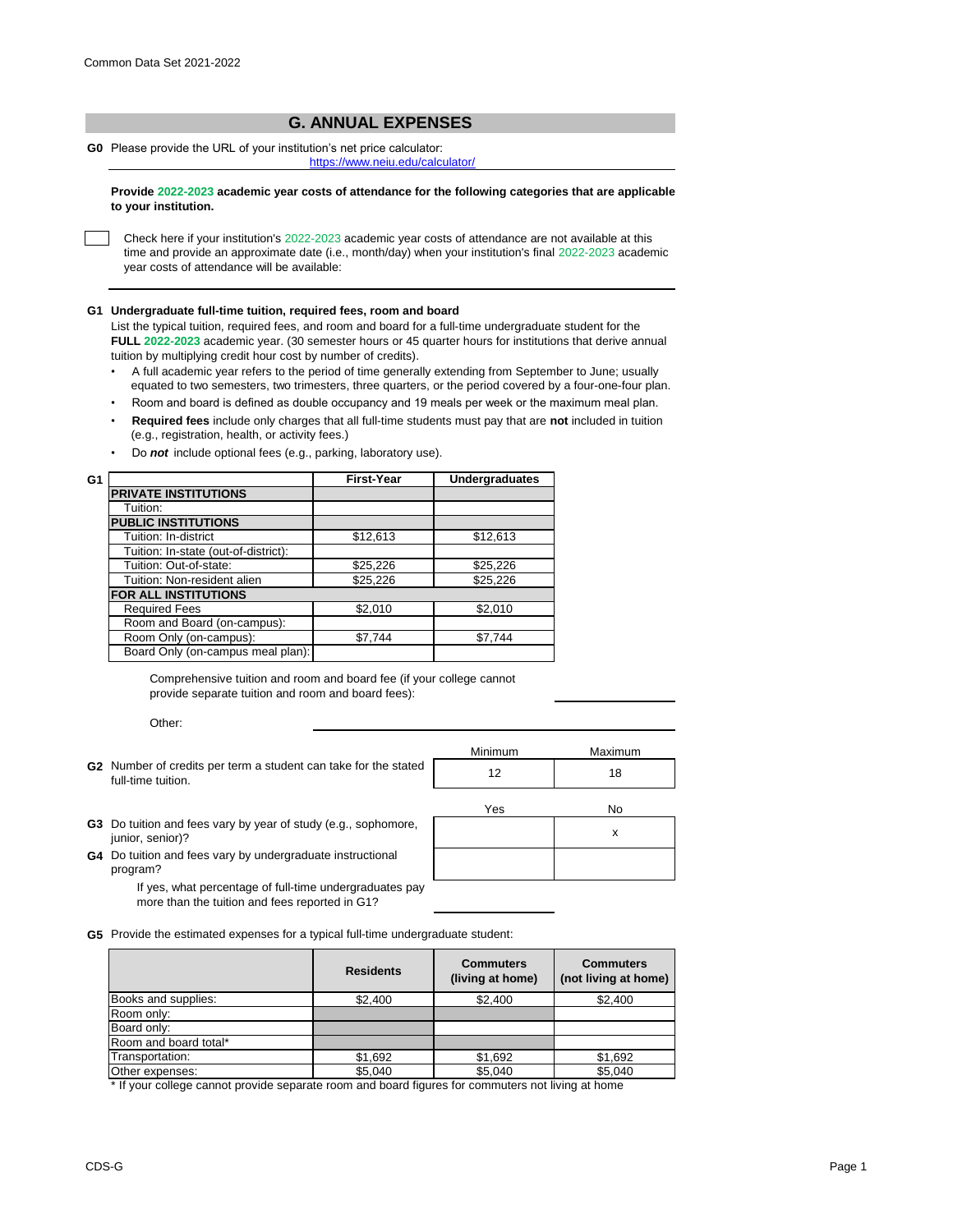## **G. ANNUAL EXPENSES**

**G0** Please provide the URL of your institution's net price calculator:

[h](https://www.neiu.edu/calculator/)ttps://www.neiu.edu/calculator/

**Provide 2022-2023 academic year costs of attendance for the following categories that are applicable to your institution.**

Check here if your institution's 2022-2023 academic year costs of attendance are not available at this time and provide an approximate date (i.e., month/day) when your institution's final 2022-2023 academic year costs of attendance will be available:

## **G1 Undergraduate full-time tuition, required fees, room and board**

List the typical tuition, required fees, and room and board for a full-time undergraduate student for the **FULL 2022-2023** academic year. (30 semester hours or 45 quarter hours for institutions that derive annual tuition by multiplying credit hour cost by number of credits).

- •A full academic year refers to the period of time generally extending from September to June; usually equated to two semesters, two trimesters, three quarters, or the period covered by a four-one-four plan.
- Room and board is defined as double occupancy and 19 meals per week or the maximum meal plan.
- • **Required fees** include only charges that all full-time students must pay that are **not** included in tuition (e.g., registration, health, or activity fees.)
- Do *not* include optional fees (e.g., parking, laboratory use).

| G1 |                                      | <b>First-Year</b> | <b>Undergraduates</b> |
|----|--------------------------------------|-------------------|-----------------------|
|    | <b>PRIVATE INSTITUTIONS</b>          |                   |                       |
|    | Tuition:                             |                   |                       |
|    | <b>PUBLIC INSTITUTIONS</b>           |                   |                       |
|    | Tuition: In-district                 | \$12,613          | \$12,613              |
|    | Tuition: In-state (out-of-district): |                   |                       |
|    | Tuition: Out-of-state:               | \$25,226          | \$25,226              |
|    | Tuition: Non-resident alien          | \$25,226          | \$25,226              |
|    | FOR ALL INSTITUTIONS                 |                   |                       |
|    | <b>Required Fees</b>                 | \$2,010           | \$2,010               |
|    | Room and Board (on-campus):          |                   |                       |
|    | Room Only (on-campus):               | \$7,744           | \$7,744               |
|    | Board Only (on-campus meal plan):    |                   |                       |

Comprehensive tuition and room and board fee (if your college cannot provide separate tuition and room and board fees):

Other:

|                                                                                       | Minimum | Maximum |
|---------------------------------------------------------------------------------------|---------|---------|
| G2 Number of credits per term a student can take for the stated<br>full-time tuition. |         | 18      |
|                                                                                       | Yes     | No      |

x

- **G3** Do tuition and fees vary by year of study (e.g., sophomore, junior, senior)?
- **G4** Do tuition and fees vary by undergraduate instructional program?

If yes, what percentage of full-time undergraduates pay more than the tuition and fees reported in G1?

**G5** Provide the estimated expenses for a typical full-time undergraduate student:

|                       | <b>Residents</b> | <b>Commuters</b><br>(living at home) | <b>Commuters</b><br>(not living at home) |
|-----------------------|------------------|--------------------------------------|------------------------------------------|
| Books and supplies:   | \$2.400          | \$2,400                              | \$2,400                                  |
| Room only:            |                  |                                      |                                          |
| Board only:           |                  |                                      |                                          |
| Room and board total* |                  |                                      |                                          |
| Transportation:       | \$1,692          | \$1,692                              | \$1,692                                  |
| Other expenses:       | \$5,040          | \$5,040                              | \$5,040                                  |

\* If your college cannot provide separate room and board figures for commuters not living at home

CDS-G Page 1